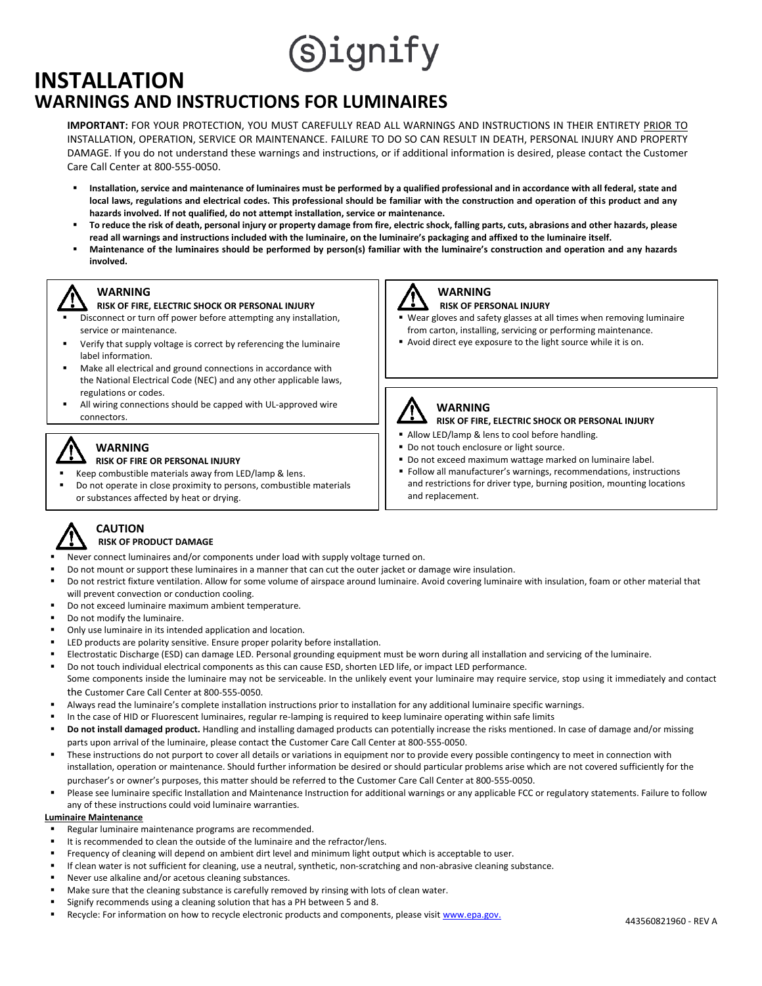# Signify

### **WARNINGS AND INSTRUCTIONS FOR LUMINAIRES INSTALLATION**

**IMPORTANT:** FOR YOUR PROTECTION, YOU MUST CAREFULLY READ ALL WARNINGS AND INSTRUCTIONS IN THEIR ENTIRETY PRIOR TO **INSTRUCTIONS** INSTALLATION, OPERATION, SERVICE OR MAINTENANCE. FAILURE TO DO SO CAN RESULT IN DEATH, PERSONAL INJURY AND PROPERTY DAMAGE. If you do not understand these warnings and instructions, or if additional information is desired, please contact the Customer Care Call Center at 800-555-0050.

- Installation, service and maintenance of luminaires must be performed by a qualified professional and in accordance with all federal, state and **local laws, regulations and electrical codes. This professional should be familiar with the construction and operation of this product and any hazards involved. If not qualified, do not attempt installation, service or maintenance.**
- **To reduce the risk of death, personal injury or property damage from fire, electric shock, falling parts, cuts, abrasions and other hazards, please read all warnings and instructions included with the luminaire, on the luminaire's packaging and affixed to the luminaire itself.**
- **Maintenance of the luminaires should be performed by person(s) familiar with the luminaire's construction and operation and any hazards involved.**

### **WARNING**

- **RISK OF FIRE, ELECTRIC SHOCK OR PERSONAL INJURY**
- Disconnect or turn off power before attempting any installation, service or maintenance.
- Verify that supply voltage is correct by referencing the luminaire label information.
- Make all electrical and ground connections in accordance with the National Electrical Code (NEC) and any other applicable laws, regulations or codes.
- All wiring connections should be capped with UL-approved wire connectors.

### **WARNING**

#### **RISK OF FIRE OR PERSONAL INJURY**

- Keep combustible materials away from LED/lamp & lens.
- Do not operate in close proximity to persons, combustible materials or substances affected by heat or drying.



#### **WARNING RISK OF PERSONAL INJURY**

- Wear gloves and safety glasses at all times when removing luminaire from carton, installing, servicing or performing maintenance.
- Avoid direct eye exposure to the light source while it is on.



#### **WARNING RISK OF FIRE, ELECTRIC SHOCK OR PERSONAL INJURY**

- 
- Allow LED/lamp & lens to cool before handling. ■ Do not touch enclosure or light source.
- Do not exceed maximum wattage marked on luminaire label.
- Follow all manufacturer's warnings, recommendations, instructions and restrictions for driver type, burning position, mounting locations and replacement.



#### **CAUTION RISK OF PRODUCT DAMAGE**

- Never connect luminaires and/or components under load with supply voltage turned on.
- Do not mount or support these luminaires in a manner that can cut the outer jacket or damage wire insulation.
- Do not restrict fixture ventilation. Allow for some volume of airspace around luminaire. Avoid covering luminaire with insulation, foam or other material that will prevent convection or conduction cooling.
- Do not exceed luminaire maximum ambient temperature.
- Do not modify the luminaire.
- Only use luminaire in its intended application and location.
- LED products are polarity sensitive. Ensure proper polarity before installation.
- Electrostatic Discharge (ESD) can damage LED. Personal grounding equipment must be worn during all installation and servicing of the luminaire.
- Do not touch individual electrical components as this can cause ESD, shorten LED life, or impact LED performance. Some components inside the luminaire may not be serviceable. In the unlikely event your luminaire may require service, stop using it immediately and contact the Customer Care Call Center at 800-555-0050.
- 
- Always read the luminaire's complete installation instructions prior to installation for any additional luminaire specific warnings. In the case of HID or Fluorescent luminaires, regular re-lamping is required to keep luminaire operating within safe limits
- Do not install damaged product. Handling and installing damaged products can potentially increase the risks mentioned. In case of damage and/or missing parts upon arrival of the luminaire, please contact the Customer Care Call Center at 800-555-0050.
- These instructions do not purport to cover all details or variations in equipment nor to provide every possible contingency to meet in connection with installation, operation or maintenance. Should further information be desired or should particular problems arise which are not covered sufficiently for the purchaser's or owner's purposes, this matter should be referred to the Customer Care Call Center at 800-555-0050.
- Please see luminaire specific Installation and Maintenance Instruction for additional warnings or any applicable FCC or regulatory statements. Failure to follow any of these instructions could void luminaire warranties.

#### **Luminaire Maintenance**

- Regular luminaire maintenance programs are recommended.
- It is recommended to clean the outside of the luminaire and the refractor/lens.
- Frequency of cleaning will depend on ambient dirt level and minimum light output which is acceptable to user.
- If clean water is not sufficient for cleaning, use a neutral, synthetic, non-scratching and non-abrasive cleaning substance.
- Never use alkaline and/or acetous cleaning substances.
- Make sure that the cleaning substance is carefully removed by rinsing with lots of clean water.
- Signify recommends using a cleaning solution that has a PH between 5 and 8.
- Recycle: For information on how to recycle electronic products and components, please visit [www.epa.gov.](http://www.epa.gov/)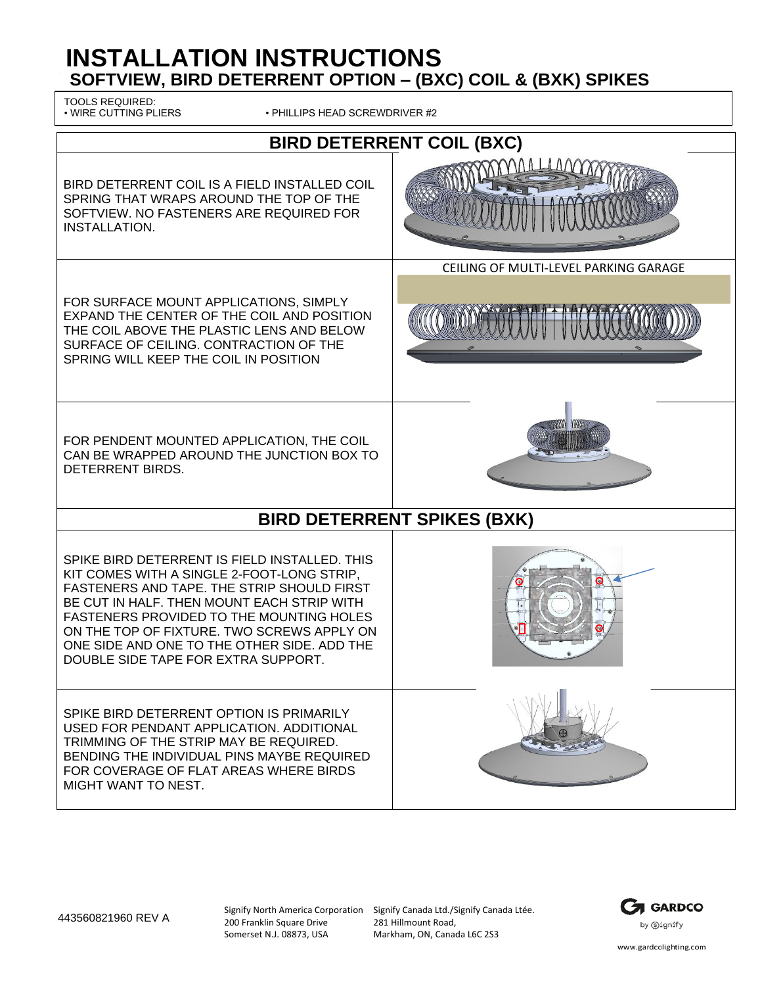# **INSTALLATION INSTRUCTIONS SOFTVIEW, BIRD DETERRENT OPTION – (BXC) COIL & (BXK) SPIKES**

TOOLS REQUIRED:<br>• WIRE CUTTING PLIERS

• PHILLIPS HEAD SCREWDRIVER #2

| <b>BIRD DETERRENT COIL (BXC)</b>                                                                                                                                                                                                                                                                                                                                               |                                       |  |
|--------------------------------------------------------------------------------------------------------------------------------------------------------------------------------------------------------------------------------------------------------------------------------------------------------------------------------------------------------------------------------|---------------------------------------|--|
| BIRD DETERRENT COIL IS A FIELD INSTALLED COIL<br>SPRING THAT WRAPS AROUND THE TOP OF THE<br>SOFTVIEW. NO FASTENERS ARE REQUIRED FOR<br>INSTALLATION.                                                                                                                                                                                                                           |                                       |  |
|                                                                                                                                                                                                                                                                                                                                                                                | CEILING OF MULTI-LEVEL PARKING GARAGE |  |
| FOR SURFACE MOUNT APPLICATIONS, SIMPLY<br>EXPAND THE CENTER OF THE COIL AND POSITION<br>THE COIL ABOVE THE PLASTIC LENS AND BELOW<br>SURFACE OF CEILING. CONTRACTION OF THE<br>SPRING WILL KEEP THE COIL IN POSITION                                                                                                                                                           |                                       |  |
| FOR PENDENT MOUNTED APPLICATION, THE COIL<br>CAN BE WRAPPED AROUND THE JUNCTION BOX TO<br>DETERRENT BIRDS.                                                                                                                                                                                                                                                                     |                                       |  |
| <b>BIRD DETERRENT SPIKES (BXK)</b>                                                                                                                                                                                                                                                                                                                                             |                                       |  |
| SPIKE BIRD DETERRENT IS FIELD INSTALLED. THIS<br>KIT COMES WITH A SINGLE 2-FOOT-LONG STRIP,<br>FASTENERS AND TAPE. THE STRIP SHOULD FIRST<br>BE CUT IN HALF. THEN MOUNT EACH STRIP WITH<br><b>FASTENERS PROVIDED TO THE MOUNTING HOLES</b><br>ON THE TOP OF FIXTURE. TWO SCREWS APPLY ON<br>ONE SIDE AND ONE TO THE OTHER SIDE, ADD THE<br>DOUBLE SIDE TAPE FOR EXTRA SUPPORT. |                                       |  |
| SPIKE BIRD DETERRENT OPTION IS PRIMARILY<br>USED FOR PENDANT APPLICATION. ADDITIONAL<br>TRIMMING OF THE STRIP MAY BE REQUIRED.<br>BENDING THE INDIVIDUAL PINS MAYBE REQUIRED<br>FOR COVERAGE OF FLAT AREAS WHERE BIRDS<br>MIGHT WANT TO NEST.                                                                                                                                  |                                       |  |

443560821960 REV A

200 Franklin Square Drive Somerset N.J. 08873, USA

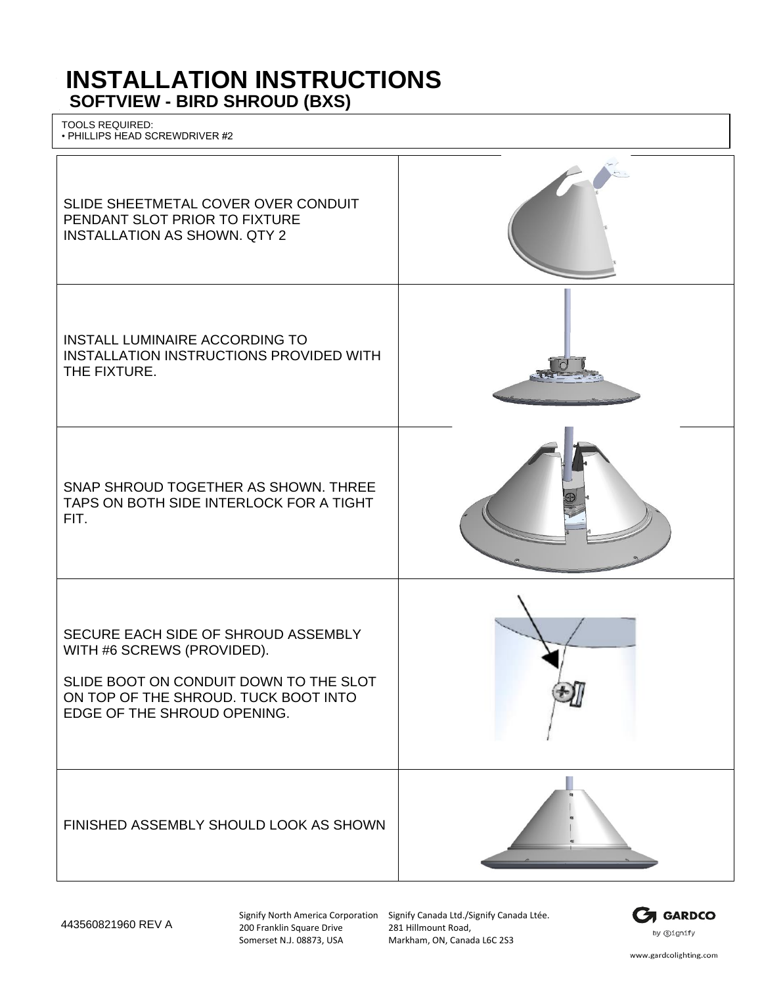# **INSTALLATION INSTRUCTIONS SOFTVIEW - BIRD SHROUD (BXS)**

TOOLS REQUIRED: • PHILLIPS HEAD SCREWDRIVER #2



200 Franklin Square Drive Somerset N.J. 08873, USA

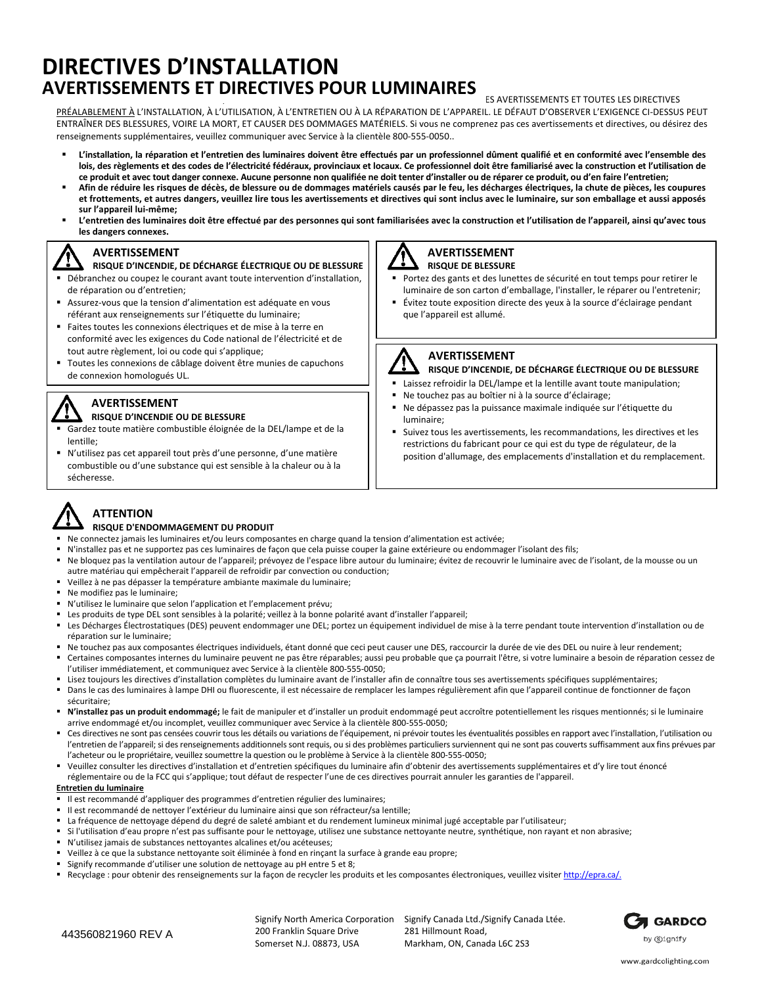### **AVERTISSEMENTS ET DIRECTIVES POUR LUMINAIRES DIRECTIVES D'INSTALLATION**

#### **ES AVERTISSEMENTS ET TOUTES LES DIRECTIVES**

PRÉALABLEMENT À L'INSTALLATION, À L'UTILISATION, À L'ENTRETIEN OU À LA RÉPARATION DE L'APPAREIL. LE DÉFAUT D'OBSERVER L'EXIGENCE CI-DESSUS PEUT ENTRAÎNER DES BLESSURES, VOIRE LA MORT, ET CAUSER DES DOMMAGES MATÉRIELS. Si vous ne comprenez pas ces avertissements et directives, ou désirez des renseignements supplémentaires, veuillez communiquer avec Service à la clientèle 800-555-0050..

- L'installation, la réparation et l'entretien des luminaires doivent être effectués par un professionnel dûment qualifié et en conformité avec l'ensemble des lois, des règlements et des codes de l'électricité fédéraux, provinciaux et locaux. Ce professionnel doit être familiarisé avec la construction et l'utilisation de ce produit et avec tout danger connexe. Aucune personne non qualifiée ne doit tenter d'installer ou de réparer ce produit, ou d'en faire l'entretien;
- Afin de réduire les risques de décès, de blessure ou de dommages matériels causés par le feu, les décharges électriques, la chute de pièces, les coupures et frottements, et autres dangers, veuillez lire tous les avertissements et directives qui sont inclus avec le luminaire, sur son emballage et aussi apposés **sur l'appareil lui-même;**
- L'entretien des luminaires doit être effectué par des personnes qui sont familiarisées avec la construction et l'utilisation de l'appareil, ainsi qu'avec tous **les dangers connexes.**

#### **AVERTISSEMENT**

- **RISQUE D'INCENDIE, DE DÉCHARGE ÉLECTRIQUE OU DE BLESSURE**
- Débranchez ou coupez le courant avant toute intervention d'installation, de réparation ou d'entretien;
- Assurez-vous que la tension d'alimentation est adéquate en vous référant aux renseignements sur l'étiquette du luminaire;
- Faites toutes les connexions électriques et de mise à la terre en conformité avec les exigences du Code national de l'électricité et de tout autre règlement, loi ou code qui s'applique;
- Toutes les connexions de câblage doivent être munies de capuchons de connexion homologués UL.

#### **AVERTISSEMENT**

#### **RISQUE D'INCENDIE OU DE BLESSURE**

- Gardez toute matière combustible éloignée de la DEL/lampe et de la lentille;
- N'utilisez pas cet appareil tout près d'une personne, d'une matière combustible ou d'une substance qui est sensible à la chaleur ou à la sécheresse.

# **AVERTISSEMENT**

- **RISQUE DE BLESSURE**
- Portez des gants et des lunettes de sécurité en tout temps pour retirer le luminaire de son carton d'emballage, l'installer, le réparer ou l'entretenir;
- Évitez toute exposition directe des yeux à la source d'éclairage pendant que l'appareil est allumé.



#### **AVERTISSEMENT**

- **RISQUE D'INCENDIE, DE DÉCHARGE ÉLECTRIQUE OU DE BLESSURE**
- Laissez refroidir la DEL/lampe et la lentille avant toute manipulation;
- Ne touchez pas au boîtier ni à la source d'éclairage;
- Ne dépassez pas la puissance maximale indiquée sur l'étiquette du luminaire;
- Suivez tous les avertissements, les recommandations, les directives et les restrictions du fabricant pour ce qui est du type de régulateur, de la position d'allumage, des emplacements d'installation et du remplacement.

# **ATTENTION**

#### **RISQUE D'ENDOMMAGEMENT DU PRODUIT**

- Ne connectez jamais les luminaires et/ou leurs composantes en charge quand la tension d'alimentation est activée;
- N'installez pas et ne supportez pas ces luminaires de façon que cela puisse couper la gaine extérieure ou endommager l'isolant des fils;
- Ne bloquez pas la ventilation autour de l'appareil; prévoyez de l'espace libre autour du luminaire; évitez de recouvrir le luminaire avec de l'isolant, de la mousse ou un autre matériau qui empêcherait l'appareil de refroidir par convection ou conduction;
- Veillez à ne pas dépasser la température ambiante maximale du luminaire;
- Ne modifiez pas le luminaire:
- N'utilisez le luminaire que selon l'application et l'emplacement prévu;
- Les produits de type DEL sont sensibles à la polarité; veillez à la bonne polarité avant d'installer l'appareil;
- Les Décharges Électrostatiques (DES) peuvent endommager une DEL; portez un équipement individuel de mise à la terre pendant toute intervention d'installation ou de réparation sur le luminaire;
- Ne touchez pas aux composantes électriques individuels, étant donné que ceci peut causer une DES, raccourcir la durée de vie des DEL ou nuire à leur rendement;
- Certaines composantes internes du luminaire peuvent ne pas être réparables; aussi peu probable que ça pourrait l'être, si votre luminaire a besoin de réparation cessez de l'utiliser immédiatement, et communiquez avec Service à la clientèle 800-555-0050;
- Lisez toujours les directives d'installation complètes du luminaire avant de l'installer afin de connaître tous ses avertissements spécifiques supplémentaires;
- Dans le cas des luminaires à lampe DHI ou fluorescente, il est nécessaire de remplacer les lampes régulièrement afin que l'appareil continue de fonctionner de façon sécuritaire;
- **N'installez pas un produit endommagé;** le fait de manipuler et d'installer un produit endommagé peut accroître potentiellement les risques mentionnés; si le luminaire arrive endommagé et/ou incomplet, veuillez communiquer avec Service à la clientèle 800-555-0050;
- Ces directives ne sont pas censées couvrir tous les détails ou variations de l'équipement, ni prévoir toutes les éventualités possibles en rapport avec l'installation, l'utilisation ou l'entretien de l'appareil; si des renseignements additionnels sont requis, ou si des problèmes particuliers surviennent qui ne sont pas couverts suffisamment aux fins prévues par l'acheteur ou le propriétaire, veuillez soumettre la question ou le problème à Service à la clientèle 800-555-0050;
- Veuillez consulter les directives d'installation et d'entretien spécifiques du luminaire afin d'obtenir des avertissements supplémentaires et d'y lire tout énoncé réglementaire ou de la FCC qui s'applique; tout défaut de respecter l'une de ces directives pourrait annuler les garanties de l'appareil.

#### **Entretien du luminaire**

- Il est recommandé d'appliquer des programmes d'entretien régulier des luminaires;
- Il est recommandé de nettoyer l'extérieur du luminaire ainsi que son réfracteur/sa lentille;
- La fréquence de nettoyage dépend du degré de saleté ambiant et du rendement lumineux minimal jugé acceptable par l'utilisateur;
- Si l'utilisation d'eau propre n'est pas suffisante pour le nettoyage, utilisez une substance nettoyante neutre, synthétique, non rayant et non abrasive;
- N'utilisez jamais de substances nettoyantes alcalines et/ou acéteuses;
- Veillez à ce que la substance nettoyante soit éliminée à fond en rinçant la surface à grande eau propre;
- Signify recommande d'utiliser une solution de nettoyage au pH entre 5 et 8;
- Recyclage : pour obtenir des renseignements sur la façon de recycler les produits et les composantes électroniques, veuillez visiter [http://epra.ca/.](http://epra.ca/)

Signify North America Corporation 200 Franklin Square Drive Somerset N.J. 08873, USA

Signify Canada Ltd./Signify Canada Ltée. 281 Hillmount Road, Markham, ON, Canada L6C 2S3

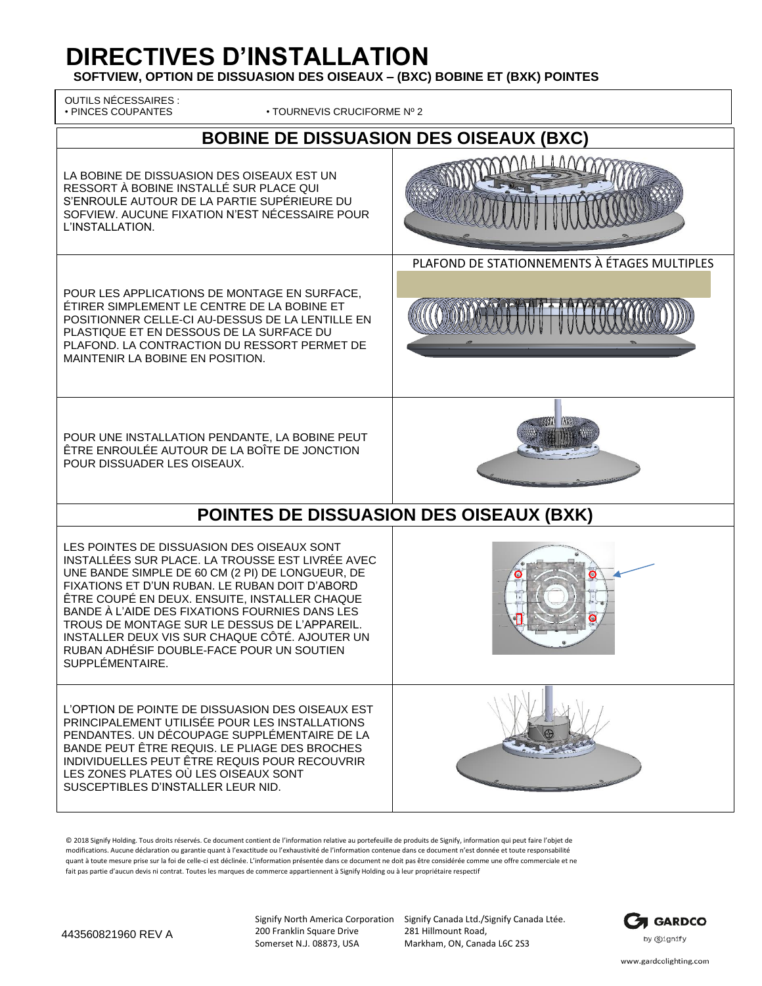# **DIRECTIVES D'INSTALLATION**

**SOFTVIEW, OPTION DE DISSUASION DES OISEAUX – (BXC) BOBINE ET (BXK) POINTES**

| <b>OUTILS NÉCESSAIRES :</b><br>· PINCES COUPANTES<br>• TOURNEVIS CRUCIFORME Nº 2                                                                                                                                                                                                                                                                                                                                                                                           |                                              |  |
|----------------------------------------------------------------------------------------------------------------------------------------------------------------------------------------------------------------------------------------------------------------------------------------------------------------------------------------------------------------------------------------------------------------------------------------------------------------------------|----------------------------------------------|--|
| <b>BOBINE DE DISSUASION DES OISEAUX (BXC)</b>                                                                                                                                                                                                                                                                                                                                                                                                                              |                                              |  |
| LA BOBINE DE DISSUASION DES OISEAUX EST UN<br>RESSORT À BOBINE INSTALLÉ SUR PLACE QUI<br>S'ENROULE AUTOUR DE LA PARTIE SUPÉRIEURE DU<br>SOFVIEW. AUCUNE FIXATION N'EST NÉCESSAIRE POUR<br>L'INSTALLATION.                                                                                                                                                                                                                                                                  |                                              |  |
| POUR LES APPLICATIONS DE MONTAGE EN SURFACE,<br>ÉTIRER SIMPLEMENT LE CENTRE DE LA BOBINE ET<br>POSITIONNER CELLE-CI AU-DESSUS DE LA LENTILLE EN<br>PLASTIQUE ET EN DESSOUS DE LA SURFACE DU<br>PLAFOND. LA CONTRACTION DU RESSORT PERMET DE<br>MAINTENIR LA BOBINE EN POSITION.                                                                                                                                                                                            | PLAFOND DE STATIONNEMENTS À ÉTAGES MULTIPLES |  |
| POUR UNE INSTALLATION PENDANTE, LA BOBINE PEUT<br>ÊTRE ENROULÉE AUTOUR DE LA BOÎTE DE JONCTION<br>POUR DISSUADER LES OISEAUX.                                                                                                                                                                                                                                                                                                                                              |                                              |  |
| POINTES DE DISSUASION DES OISEAUX (BXK)                                                                                                                                                                                                                                                                                                                                                                                                                                    |                                              |  |
| LES POINTES DE DISSUASION DES OISEAUX SONT<br>INSTALLÉES SUR PLACE. LA TROUSSE EST LIVRÉE AVEC<br>UNE BANDE SIMPLE DE 60 CM (2 PI) DE LONGUEUR, DE<br>FIXATIONS ET D'UN RUBAN. LE RUBAN DOIT D'ABORD<br>ÊTRE COUPÉ EN DEUX. ENSUITE, INSTALLER CHAQUE<br>BANDE À L'AIDE DES FIXATIONS FOURNIES DANS LES<br>TROUS DE MONTAGE SUR LE DESSUS DE L'APPAREIL.<br>INSTALLER DEUX VIS SUR CHAQUE CÔTÉ. AJOUTER UN<br>RUBAN ADHÉSIF DOUBLE-FACE POUR UN SOUTIEN<br>SUPPLÉMENTAIRE. |                                              |  |
| L'OPTION DE POINTE DE DISSUASION DES OISEAUX EST<br>PRINCIPALEMENT UTILISÉE POUR LES INSTALLATIONS<br>PENDANTES. UN DÉCOUPAGE SUPPLÉMENTAIRE DE LA<br>BANDE PEUT ÊTRE REQUIS. LE PLIAGE DES BROCHES<br>INDIVIDUELLES PEUT ÊTRE REQUIS POUR RECOUVRIR<br>LES ZONES PLATES OÙ LES OISEAUX SONT<br>SUSCEPTIBLES D'INSTALLER LEUR NID.                                                                                                                                         |                                              |  |

© 2018 Signify Holding. Tous droits réservés. Ce document contient de l'information relative au portefeuille de produits de Signify, information qui peut faire l'objet de modifications. Aucune déclaration ou garantie quant à l'exactitude ou l'exhaustivité de l'information contenue dans ce document n'est donnée et toute responsabilité quant à toute mesure prise sur la foi de celle-ci est déclinée. L'information présentée dans ce document ne doit pas être considérée comme une offre commerciale et ne fait pas partie d'aucun devis ni contrat. Toutes les marques de commerce appartiennent à Signify Holding ou à leur propriétaire respectif

200 Franklin Square Drive Somerset N.J. 08873, USA